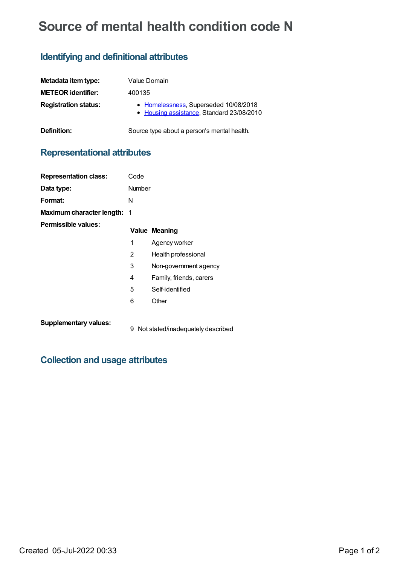# **Source of mental health condition code N**

## **Identifying and definitional attributes**

| Metadata item type:         | Value Domain                                                                       |
|-----------------------------|------------------------------------------------------------------------------------|
| <b>METEOR identifier:</b>   | 400135                                                                             |
| <b>Registration status:</b> | • Homelessness, Superseded 10/08/2018<br>• Housing assistance, Standard 23/08/2010 |
| Definition:                 | Source type about a person's mental health.                                        |

## **Representational attributes**

| <b>Representation class:</b>       | Code   |                         |
|------------------------------------|--------|-------------------------|
| Data type:                         | Number |                         |
| Format:                            | N      |                         |
| <b>Maximum character length: 1</b> |        |                         |
| Permissible values:                |        | <b>Value Meaning</b>    |
|                                    | 1      | Agency worker           |
|                                    | 2      | Health professional     |
|                                    | 3      | Non-government agency   |
|                                    | 4      | Family, friends, carers |
|                                    | 5      | Self-identified         |
|                                    | 6      | Other                   |
|                                    |        |                         |

**Supplementary values:**

9 Not stated/inadequately described

## **Collection and usage attributes**